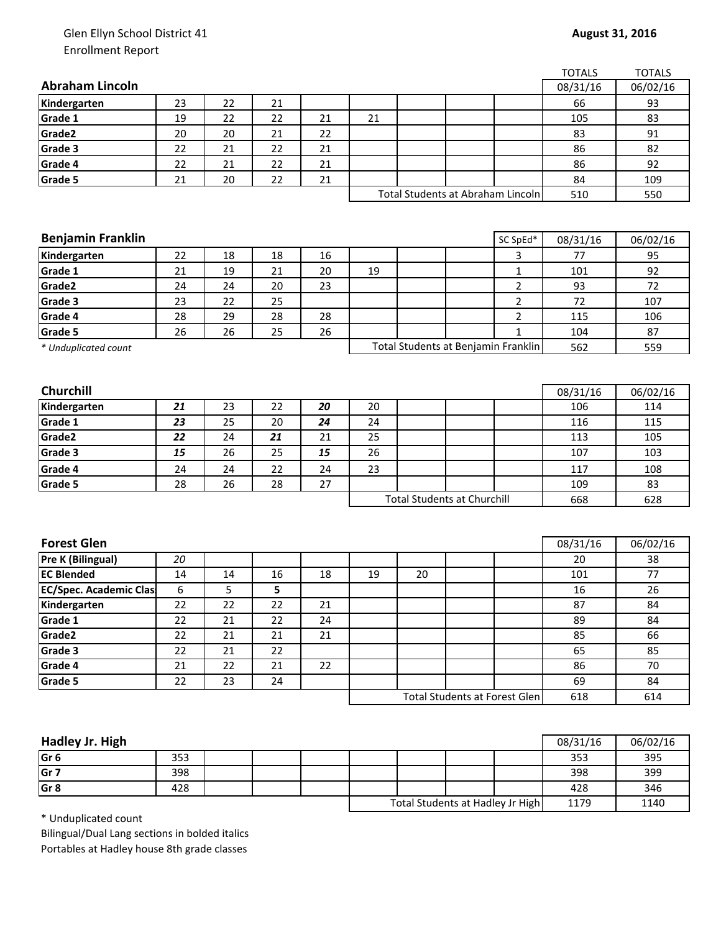## Glen Ellyn School District 41 Enrollment Report

| <b>Abraham Lincoln</b><br>Kindergarten<br>23<br>Grade 1<br>19 |                                    |    |    |    |    |                                      |                | 08/31/16 |          |
|---------------------------------------------------------------|------------------------------------|----|----|----|----|--------------------------------------|----------------|----------|----------|
|                                                               |                                    |    |    |    |    |                                      |                |          | 06/02/16 |
|                                                               | 22                                 | 21 |    |    |    |                                      |                | 66       | 93       |
|                                                               | 22                                 | 22 | 21 | 21 |    |                                      |                | 105      | 83       |
| Grade2<br>20                                                  | 20                                 | 21 | 22 |    |    |                                      |                | 83       | 91       |
| Grade 3<br>22                                                 | 21                                 | 22 | 21 |    |    |                                      |                | 86       | 82       |
| Grade 4<br>22                                                 | 21                                 | 22 | 21 |    |    |                                      |                | 86       | 92       |
| Grade 5<br>21                                                 | 20                                 | 22 | 21 |    |    |                                      |                | 84       | 109      |
|                                                               |                                    |    |    |    |    | Total Students at Abraham Lincoln    |                | 510      | 550      |
|                                                               |                                    |    |    |    |    |                                      |                |          |          |
|                                                               |                                    |    |    |    |    |                                      |                |          |          |
| <b>Benjamin Franklin</b>                                      |                                    |    |    |    |    |                                      | SC SpEd*       | 08/31/16 | 06/02/16 |
| Kindergarten<br>22                                            | 18                                 | 18 | 16 |    |    |                                      | 3              | 77       | 95       |
| Grade 1<br>21                                                 | 19                                 | 21 | 20 | 19 |    |                                      | 1              | 101      | 92       |
| Grade2<br>24                                                  | 24                                 | 20 | 23 |    |    |                                      | $\overline{2}$ | 93       | 72       |
| Grade 3<br>23                                                 | 22                                 | 25 |    |    |    |                                      | $\overline{2}$ | 72       | 107      |
| Grade 4<br>28                                                 | 29                                 | 28 | 28 |    |    |                                      | $\overline{2}$ | 115      | 106      |
| Grade 5<br>26                                                 | 26                                 | 25 | 26 |    |    |                                      | 1              | 104      | 87       |
| * Unduplicated count                                          |                                    |    |    |    |    | Total Students at Benjamin Franklin  |                | 562      | 559      |
|                                                               |                                    |    |    |    |    |                                      |                |          |          |
|                                                               |                                    |    |    |    |    |                                      |                |          |          |
| Churchill                                                     |                                    |    |    |    |    |                                      |                | 08/31/16 | 06/02/16 |
| Kindergarten<br>21                                            | 23                                 | 22 | 20 | 20 |    |                                      |                | 106      | 114      |
| Grade 1<br>23                                                 | 25                                 | 20 | 24 | 24 |    |                                      |                | 116      | 115      |
| Grade2<br>22                                                  | 24                                 | 21 | 21 | 25 |    |                                      |                | 113      | 105      |
| Grade 3<br>15                                                 | 26                                 | 25 | 15 | 26 |    |                                      |                | 107      | 103      |
| Grade 4<br>24                                                 | 24                                 | 22 | 24 | 23 |    |                                      |                | 117      | 108      |
| Grade 5<br>28                                                 | 26                                 | 28 | 27 |    |    |                                      |                | 109      | 83       |
|                                                               | <b>Total Students at Churchill</b> |    |    |    |    |                                      | 668            | 628      |          |
|                                                               |                                    |    |    |    |    |                                      |                |          |          |
|                                                               |                                    |    |    |    |    |                                      |                |          |          |
| <b>Forest Glen</b>                                            |                                    |    |    |    |    |                                      |                | 08/31/16 | 06/02/16 |
| Pre K (Bilingual)<br>20                                       |                                    |    |    |    |    |                                      |                | 20       | 38       |
| <b>EC Blended</b><br>14                                       | 14                                 | 16 | 18 | 19 | 20 |                                      |                | 101      | 77       |
| <b>EC/Spec. Academic Clas</b><br>6                            | 5                                  | 5  |    |    |    |                                      |                | 16       | 26       |
| Kindergarten<br>22                                            | 22                                 | 22 | 21 |    |    |                                      |                | 87       | 84       |
| Grade 1<br>22                                                 | 21                                 | 22 | 24 |    |    |                                      |                | 89       | 84       |
| Grade2<br>22                                                  | 21                                 | 21 | 21 |    |    |                                      |                | 85       | 66       |
| Grade 3<br>22                                                 | 21                                 | 22 |    |    |    |                                      |                | 65       | 85       |
| Grade 4<br>21                                                 | 22                                 | 21 | 22 |    |    |                                      |                | 86       | 70       |
| Grade 5<br>22                                                 | 23                                 | 24 |    |    |    |                                      |                | 69       | 84       |
|                                                               |                                    |    |    |    |    | <b>Total Students at Forest Glen</b> |                | 618      | 614      |

| Hadley Jr. High |     |  |                                  |  |      | 08/31/16 | 06/02/16 |
|-----------------|-----|--|----------------------------------|--|------|----------|----------|
| Gr <sub>6</sub> | 353 |  |                                  |  |      | 353      | 395      |
| Gr <sub>7</sub> | 398 |  |                                  |  |      | 398      | 399      |
| Gr <sub>8</sub> | 428 |  |                                  |  |      | 428      | 346      |
|                 |     |  | Total Students at Hadley Jr High |  | 1179 | 1140     |          |

\* Unduplicated count

Bilingual/Dual Lang sections in bolded italics Portables at Hadley house 8th grade classes